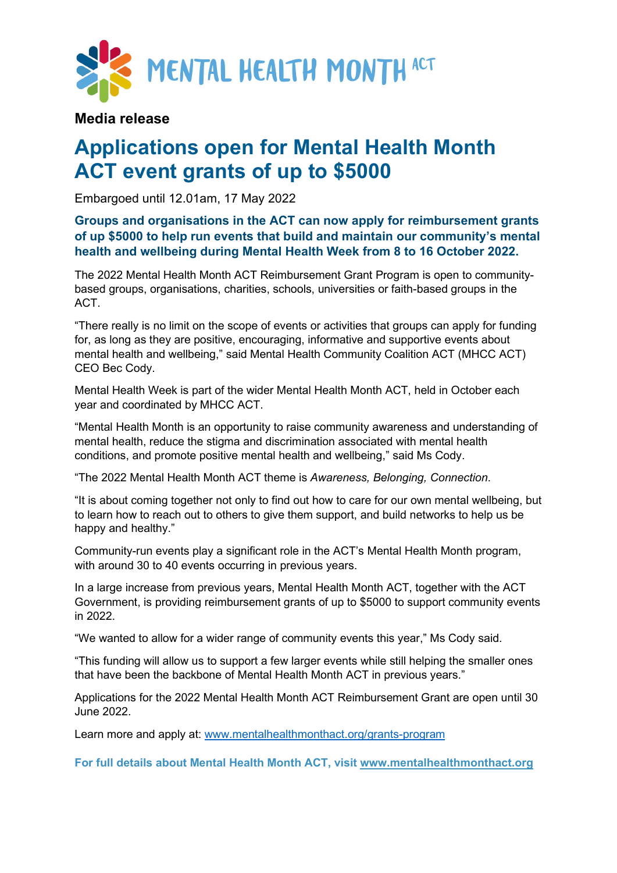

## **Media release**

## **Applications open for Mental Health Month ACT event grants of up to \$5000**

Embargoed until 12.01am, 17 May 2022

## **Groups and organisations in the ACT can now apply for reimbursement grants of up \$5000 to help run events that build and maintain our community's mental health and wellbeing during Mental Health Week from 8 to 16 October 2022.**

The 2022 Mental Health Month ACT Reimbursement Grant Program is open to communitybased groups, organisations, charities, schools, universities or faith-based groups in the ACT.

"There really is no limit on the scope of events or activities that groups can apply for funding for, as long as they are positive, encouraging, informative and supportive events about mental health and wellbeing," said Mental Health Community Coalition ACT (MHCC ACT) CEO Bec Cody.

Mental Health Week is part of the wider Mental Health Month ACT, held in October each year and coordinated by MHCC ACT.

"Mental Health Month is an opportunity to raise community awareness and understanding of mental health, reduce the stigma and discrimination associated with mental health conditions, and promote positive mental health and wellbeing," said Ms Cody.

"The 2022 Mental Health Month ACT theme is *Awareness, Belonging, Connection*.

"It is about coming together not only to find out how to care for our own mental wellbeing, but to learn how to reach out to others to give them support, and build networks to help us be happy and healthy."

Community-run events play a significant role in the ACT's Mental Health Month program, with around 30 to 40 events occurring in previous years.

In a large increase from previous years, Mental Health Month ACT, together with the ACT Government, is providing reimbursement grants of up to \$5000 to support community events in 2022.

"We wanted to allow for a wider range of community events this year," Ms Cody said.

"This funding will allow us to support a few larger events while still helping the smaller ones that have been the backbone of Mental Health Month ACT in previous years."

Applications for the 2022 Mental Health Month ACT Reimbursement Grant are open until 30 June 2022.

Learn more and apply at: [www.mentalhealthmonthact.org/grants-program](https://www.mentalhealthmonthact.org/grants-program)

**For full details about Mental Health Month ACT, visit [www.mentalhealthmonthact.org](http://www.mentalhealthmonthact.org/)**